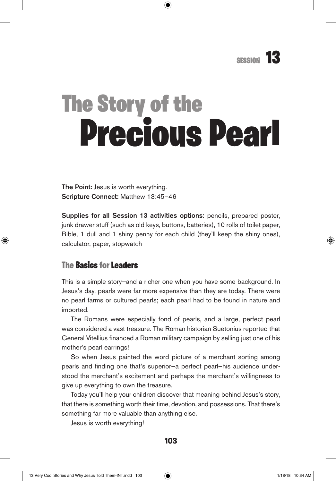# The Story of the Precious Pearl

The Point: Jesus is worth everything. Scripture Connect: Matthew 13:45–46

Supplies for all Session 13 activities options: pencils, prepared poster, junk drawer stuff (such as old keys, buttons, batteries), 10 rolls of toilet paper, Bible, 1 dull and 1 shiny penny for each child (they'll keep the shiny ones), calculator, paper, stopwatch

# The Basics for Leaders

This is a simple story—and a richer one when you have some background. In Jesus's day, pearls were far more expensive than they are today. There were no pearl farms or cultured pearls; each pearl had to be found in nature and imported.

The Romans were especially fond of pearls, and a large, perfect pearl was considered a vast treasure. The Roman historian Suetonius reported that General Vitellius financed a Roman military campaign by selling just one of his mother's pearl earrings!

So when Jesus painted the word picture of a merchant sorting among pearls and finding one that's superior—a perfect pearl—his audience understood the merchant's excitement and perhaps the merchant's willingness to give up everything to own the treasure.

Today you'll help your children discover that meaning behind Jesus's story, that there is something worth their time, devotion, and possessions. That there's something far more valuable than anything else.

Jesus is worth everything!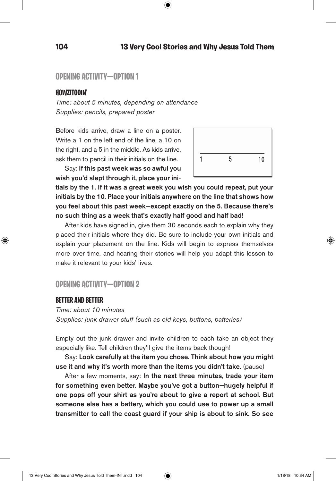## **OPENING ACTIVITY—OPTION 1**

#### **HOWZITGOIN'**

*Time: about 5 minutes, depending on attendance Supplies: pencils, prepared poster*

Before kids arrive, draw a line on a poster. Write a 1 on the left end of the line, a 10 on the right, and a 5 in the middle. As kids arrive, ask them to pencil in their initials on the line.

Say: If this past week was so awful you wish you'd slept through it, place your ini $\mathbf{1}$ 5  $10$ 

tials by the 1. If it was a great week you wish you could repeat, put your initials by the 10. Place your initials anywhere on the line that shows how you feel about this past week—except exactly on the 5. Because there's no such thing as a week that's exactly half good and half bad!

After kids have signed in, give them 30 seconds each to explain why they placed their initials where they did. Be sure to include your own initials and explain your placement on the line. Kids will begin to express themselves more over time, and hearing their stories will help you adapt this lesson to make it relevant to your kids' lives.

# **OPENING ACTIVITY—OPTION 2**

#### **BETTER AND BETTER**

*Time: about 10 minutes Supplies: junk drawer stuff (such as old keys, buttons, batteries)*

Empty out the junk drawer and invite children to each take an object they especially like. Tell children they'll give the items back though!

Say: Look carefully at the item you chose. Think about how you might use it and why it's worth more than the items you didn't take. (pause)

After a few moments, say: In the next three minutes, trade your item for something even better. Maybe you've got a button—hugely helpful if one pops off your shirt as you're about to give a report at school. But someone else has a battery, which you could use to power up a small transmitter to call the coast guard if your ship is about to sink. So see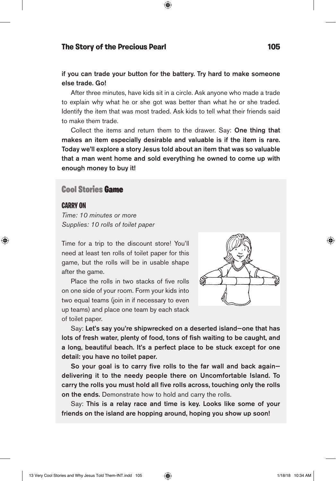### if you can trade your button for the battery. Try hard to make someone else trade. Go!

After three minutes, have kids sit in a circle. Ask anyone who made a trade to explain why what he or she got was better than what he or she traded. Identify the item that was most traded. Ask kids to tell what their friends said to make them trade.

Collect the items and return them to the drawer. Say: One thing that makes an item especially desirable and valuable is if the item is rare. Today we'll explore a story Jesus told about an item that was so valuable that a man went home and sold everything he owned to come up with enough money to buy it!

## Cool Stories Game

#### **CARRY ON**

*Time: 10 minutes or more Supplies: 10 rolls of toilet paper*

Time for a trip to the discount store! You'll need at least ten rolls of toilet paper for this game, but the rolls will be in usable shape after the game.

Place the rolls in two stacks of five rolls on one side of your room. Form your kids into two equal teams (join in if necessary to even up teams) and place one team by each stack of toilet paper.



Say: Let's say you're shipwrecked on a deserted island—one that has lots of fresh water, plenty of food, tons of fish waiting to be caught, and a long, beautiful beach. It's a perfect place to be stuck except for one detail: you have no toilet paper.

So your goal is to carry five rolls to the far wall and back again delivering it to the needy people there on Uncomfortable Island. To carry the rolls you must hold all five rolls across, touching only the rolls on the ends. Demonstrate how to hold and carry the rolls.

Say: This is a relay race and time is key. Looks like some of your friends on the island are hopping around, hoping you show up soon!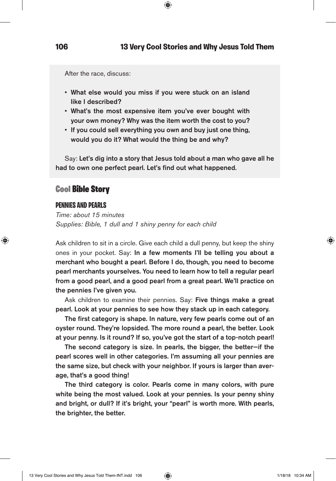After the race, discuss:

- What else would you miss if you were stuck on an island like I described?
- What's the most expensive item you've ever bought with your own money? Why was the item worth the cost to you?
- If you could sell everything you own and buy just one thing, would you do it? What would the thing be and why?

Say: Let's dig into a story that Jesus told about a man who gave all he had to own one perfect pearl. Let's find out what happened.

# Cool Bible Story

#### **PENNIES AND PEARLS**

*Time: about 15 minutes Supplies: Bible, 1 dull and 1 shiny penny for each child*

Ask children to sit in a circle. Give each child a dull penny, but keep the shiny ones in your pocket. Say: In a few moments I'll be telling you about a merchant who bought a pearl. Before I do, though, you need to become pearl merchants yourselves. You need to learn how to tell a regular pearl from a good pearl, and a good pearl from a great pearl. We'll practice on the pennies I've given you.

Ask children to examine their pennies. Say: Five things make a great pearl. Look at your pennies to see how they stack up in each category.

The first category is shape. In nature, very few pearls come out of an oyster round. They're lopsided. The more round a pearl, the better. Look at your penny. Is it round? If so, you've got the start of a top-notch pearl!

The second category is size. In pearls, the bigger, the better—if the pearl scores well in other categories. I'm assuming all your pennies are the same size, but check with your neighbor. If yours is larger than average, that's a good thing!

The third category is color. Pearls come in many colors, with pure white being the most valued. Look at your pennies. Is your penny shiny and bright, or dull? If it's bright, your "pearl" is worth more. With pearls, the brighter, the better.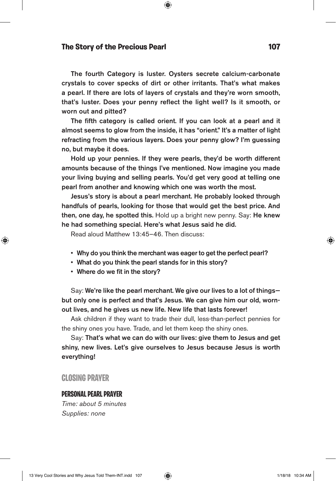The fourth Category is luster. Oysters secrete calcium-carbonate crystals to cover specks of dirt or other irritants. That's what makes a pearl. If there are lots of layers of crystals and they're worn smooth, that's luster. Does your penny reflect the light well? Is it smooth, or worn out and pitted?

The fifth category is called orient. If you can look at a pearl and it almost seems to glow from the inside, it has "orient." It's a matter of light refracting from the various layers. Does your penny glow? I'm guessing no, but maybe it does.

Hold up your pennies. If they were pearls, they'd be worth different amounts because of the things I've mentioned. Now imagine you made your living buying and selling pearls. You'd get very good at telling one pearl from another and knowing which one was worth the most.

Jesus's story is about a pearl merchant. He probably looked through handfuls of pearls, looking for those that would get the best price. And then, one day, he spotted this. Hold up a bright new penny. Say: He knew he had something special. Here's what Jesus said he did.

Read aloud Matthew 13:45–46. Then discuss:

- Why do you think the merchant was eager to get the perfect pearl?
- What do you think the pearl stands for in this story?
- Where do we fit in the story?

Say: We're like the pearl merchant. We give our lives to a lot of things but only one is perfect and that's Jesus. We can give him our old, wornout lives, and he gives us new life. New life that lasts forever!

Ask children if they want to trade their dull, less-than-perfect pennies for the shiny ones you have. Trade, and let them keep the shiny ones.

Say: That's what we can do with our lives: give them to Jesus and get shiny, new lives. Let's give ourselves to Jesus because Jesus is worth everything!

#### **CLOSING PRAYER**

#### **PERSONAL PEARL PRAYER**

*Time: about 5 minutes Supplies: none*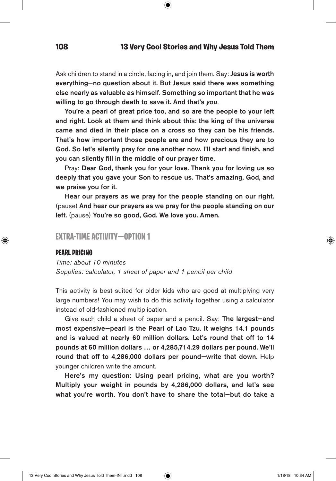Ask children to stand in a circle, facing in, and join them. Say: Jesus is worth everything—no question about it. But Jesus said there was something else nearly as valuable as himself. Something so important that he was willing to go through death to save it. And that's *you*.

You're a pearl of great price too, and so are the people to your left and right. Look at them and think about this: the king of the universe came and died in their place on a cross so they can be his friends. That's how important those people are and how precious they are to God. So let's silently pray for one another now. I'll start and finish, and you can silently fill in the middle of our prayer time.

Pray: Dear God, thank you for your love. Thank you for loving us so deeply that you gave your Son to rescue us. That's amazing, God, and we praise you for it.

Hear our prayers as we pray for the people standing on our right. (pause) And hear our prayers as we pray for the people standing on our left. (pause) You're so good, God. We love you. Amen.

#### **EXTRA-TIME ACTIVITY—OPTION 1**

#### **PEARL PRICING**

*Time: about 10 minutes Supplies: calculator, 1 sheet of paper and 1 pencil per child*

This activity is best suited for older kids who are good at multiplying very large numbers! You may wish to do this activity together using a calculator instead of old-fashioned multiplication.

Give each child a sheet of paper and a pencil. Say: The largest—and most expensive—pearl is the Pearl of Lao Tzu. It weighs 14.1 pounds and is valued at nearly 60 million dollars. Let's round that off to 14 pounds at 60 million dollars … or 4,285,714.29 dollars per pound. We'll round that off to 4,286,000 dollars per pound—write that down. Help younger children write the amount.

Here's my question: Using pearl pricing, what are you worth? Multiply your weight in pounds by 4,286,000 dollars, and let's see what you're worth. You don't have to share the total—but do take a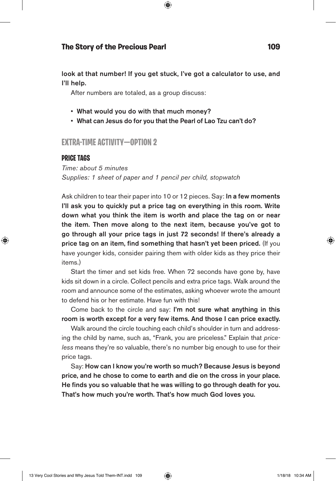look at that number! If you get stuck, I've got a calculator to use, and I'll help.

After numbers are totaled, as a group discuss:

- What would you do with that much money?
- What can Jesus do for you that the Pearl of Lao Tzu can't do?

# **EXTRA-TIME ACTIVITY—OPTION 2**

## **PRICE TAGS**

*Time: about 5 minutes Supplies: 1 sheet of paper and 1 pencil per child, stopwatch*

Ask children to tear their paper into 10 or 12 pieces. Say: In a few moments I'll ask you to quickly put a price tag on everything in this room. Write down what you think the item is worth and place the tag on or near the item. Then move along to the next item, because you've got to go through all your price tags in just 72 seconds! If there's already a price tag on an item, find something that hasn't yet been priced. (If you have younger kids, consider pairing them with older kids as they price their items.)

Start the timer and set kids free. When 72 seconds have gone by, have kids sit down in a circle. Collect pencils and extra price tags. Walk around the room and announce some of the estimates, asking whoever wrote the amount to defend his or her estimate. Have fun with this!

Come back to the circle and say: I'm not sure what anything in this room is worth except for a very few items. And those I can price exactly.

Walk around the circle touching each child's shoulder in turn and addressing the child by name, such as, "Frank, you are priceless." Explain that *priceless* means they're so valuable, there's no number big enough to use for their price tags.

Say: How can I know you're worth so much? Because Jesus is beyond price, and he chose to come to earth and die on the cross in your place. He finds you so valuable that he was willing to go through death for you. That's how much you're worth. That's how much God loves you.